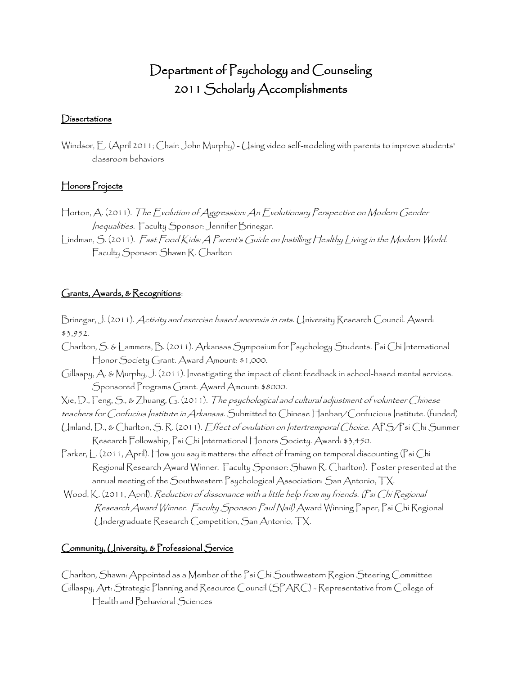# Department of Psychology and Counseling 2011 Scholarly Accomplishments

#### **Dissertations**

Windsor, E. (April 2011; Chair: John Murphy) - Using video self-modeling with parents to improve students' classroom behaviors

## Honors Projects

- Horton, A. (2011). The Evolution of Aggression: An Evolutionary Perspective on Modern Gender Inequalities. Faculty Sponsor: Jennifer Brinegar.
- Lindman, S. (2011). Fast Food Kids: A Parent's Guide on Instilling Healthy Living in the Modern World. Faculty Sponsor: Shawn R. Charlton

#### Grants, Awards, & Recognitions:

- Brinegar, J. (2011). Activity and exercise based anorexia in rats. University Research Council. Award: \$3,952.
- Charlton, S. & Lammers, B. (2011). Arkansas Symposium for Psychology Students. Psi Chi International Honor Society Grant. Award Amount: \$1,000.
- Gillaspy, A. & Murphy, J. (2011). Investigating the impact of client feedback in school-based mental services. Sponsored Programs Grant. Award Amount: \$8000.
- Xie, D., Feng, S., & Zhuang, G. (2011). The psychological and cultural adjustment of volunteer Chinese
- teachers for Confucius Institute in Arkansas. Submitted to Chinese Hanban/Confucious Institute. (funded)
- Umland, D., & Charlton, S. R. (2011). Effect of ovulation on Intertremporal Choice. APS/Psi Chi Summer Research Followship, Psi Chi International Honors Society. Award: \$3,450.
- Parker, L. (2011, April). How you say it matters: the effect of framing on temporal discounting (Psi Chi Regional Research Award Winner. Faculty Sponsor: Shawn R. Charlton). Poster presented at the annual meeting of the Southwestern Psychological Association: San Antonio, TX.
- Wood, K. (2011, April). Reduction of dissonance with a little help from my friends. (Psi Chi Regional Research Award Winner. Faculty Sponsor: Paul Nail) Award Winning Paper, Psi Chi Regional Undergraduate Research Competition, San Antonio, TX.

## Community, University, & Professional Service

Charlton, Shawn: Appointed as a Member of the Psi Chi Southwestern Region Steering Committee Gillaspy, Art: Strategic Planning and Resource Council (SPARC) - Representative from College of Health and Behavioral Sciences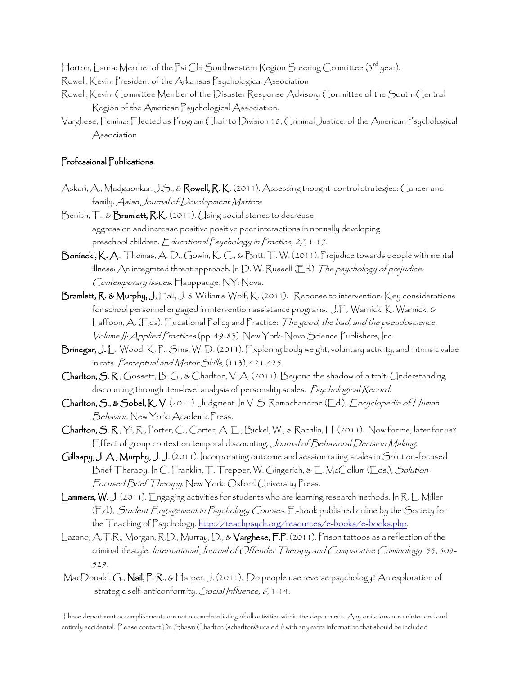Horton, Laura: Member of the Psi Chi Southwestern Region Steering Committee (3<sup>rd</sup> year).

- Rowell, Kevin: President of the Arkansas Psychological Association
- Rowell, Kevin: Committee Member of the Disaster Response Advisory Committee of the South-Central Region of the American Psychological Association.
- Varghese, Femina: Elected as Program Chair to Division 18, Criminal Justice, of the American Psychological Association

#### Professional Publications:

- Askari, A., Madgaonkar, J.S., & Rowell, R.K. (2011). Assessing thought-control strategies: Cancer and family. Asian Journal of Development Matters
- Benish, T., & Bramlett, R.K. (2011). (Jsing social stories to decrease aggression and increase positive positive peer interactions in normally developing preschool children. Educational Psychology in Practice, 27, 1-17.
- Boniecki, K. A., Thomas, A. D., Gowin, K. C., & Britt, T. W. (2011). Prejudice towards people with mental illness: An integrated threat approach. In D. W. Russell (Ed.) The psychology of prejudice: Contemporary issues. Hauppauge, NY: Nova.
- Bramlett, R. & Murphy, J, Hall, J. & Williams-Wolf, K. (2011). Reponse to intervention: Key considerations for school personnel engaged in intervention assistance programs. J.E. Warnick, K. Warnick, & Laffoon, A. (Eds). Eucational Policy and Practice: The good, the bad, and the pseudoscience. Volume II: Applied Practices (pp. 49-83). New York: Nova Science Publishers, Inc.
- Brinegar, J. L., Wood, K. P., Sims, W. D. (2011). Exploring body weight, voluntary activity, and intrinsic value in rats. Perceptual and Motor Skills, (113), 421-425.
- Charlton, S. R., Gossett, B. G., & Charlton, V. A. (2011). Beyond the shadow of a trait: Understanding discounting through item-level analysis of personality scales. Psychological Record.
- Charlton, S., & Sobel, K. V. (2011). Judgment. In V. S. Ramachandran (Ed.), Encyclopedia of Human Behavior. New York: Academic Press.
- Charlton, S. R., Yi, R., Porter, C., Carter, A. E., Bickel, W., & Rachlin, H. (2011). Now for me, later for us? Effect of group context on temporal discounting. Journal of Behavioral Decision Making.
- Gillaspy, J. A., Murphy, J. J. (2011). Incorporating outcome and session rating scales in Solution-focused Brief Therapy. In C. Franklin, T. Trepper, W. Gingerich, & E. McCollum (Eds.), Solution-Focused Brief Therapy. New York: Oxford University Press.
- Lammers, W. J. (2011). Engaging activities for students who are learning research methods. In R. L. Miller (Ed.), Student Engagement in Psychology Courses. E-book published online by the Society for the Teaching of Psychology. [http://teachpsych.org/resources/e-books/e-books.php.](http://teachpsych.org/resources/e-books/e-books.php)
- Lazano, A.T.R., Morgan, R.D., Murray, D., & Varghese, F.P. (2011). Prison tattoos as a reflection of the criminal lifestyle. International Journal of Offender Therapy and Comparative Criminology, 55, 509- 529.
- MacDonald, G., Nail, P. R., & Harper, J. (2011). Do people use reverse psychology? An exploration of strategic self-anticonformity. Social Influence, 6, 1-14.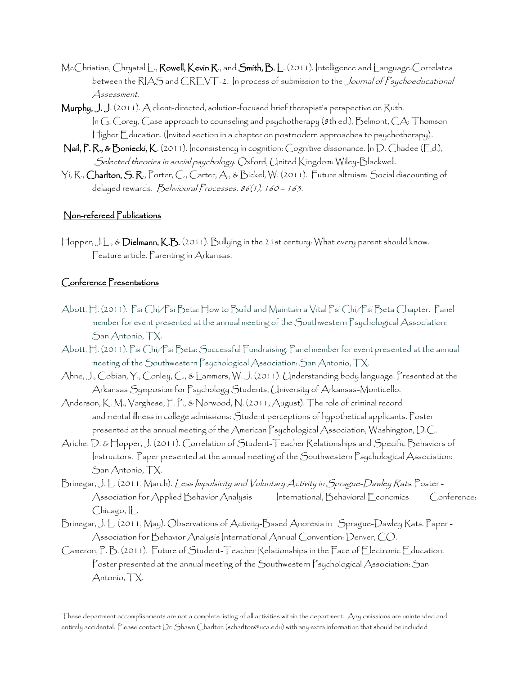- McChristian, Chrystal L., Rowell, Kevin R., and Smith, B. L. (2011). Intelligence and Language: Correlates between the RIAS and CREVT-2. In process of submission to the *Journal of Psychoeducational* Assessment.
- Murphy, J. J. (2011). A client-directed, solution-focused brief therapist's perspective on Ruth. In G. Corey, Case approach to counseling and psychotherapy (8th ed.), Belmont, CA: Thomson Higher Education. (Invited section in a chapter on postmodern approaches to psychotherapy).
- Nail, P. R., & Boniecki, K. (2011). Inconsistency in cognition: Cognitive dissonance. In D. Chadee (Ed.), Selected theories in social psychology. Oxford, United Kingdom: Wiley-Blackwell.
- Yi, R., Charlton, S. R., Porter, C., Carter, A., & Bickel, W. (2011). Future altruism: Social discounting of delayed rewards. Behvioural Processes, 86(1), 160 - 163.

## Non-refereed Publications

Hopper, J.L., & Dielmann, K.B. (2011). Bullying in the 21st century: What every parent should know. Feature article. Parenting in Arkansas.

## Conference Presentations

- Abott, H. (2011). Psi Chi/Psi Beta: How to Build and Maintain a Vital Psi Chi/Psi Beta Chapter. Panel member for event presented at the annual meeting of the Southwestern Psychological Association: San Antonio, TX.
- Abott, H. (2011). Psi Chi/Psi Beta: Successful Fundraising. Panel member for event presented at the annual meeting of the Southwestern Psychological Association: San Antonio, TX.
- Ahne, J., Cobian, Y., Conley, C., & Lammers, W. J. (2011). Understanding body language. Presented at the Arkansas Symposium for Psychology Students, University of Arkansas-Monticello.
- Anderson, K. M., Varghese, F. P., & Norwood, N. (2011, August). The role of criminal record and mental illness in college admissions: Student perceptions of hypothetical applicants. Poster presented at the annual meeting of the American Psychological Association, Washington, D.C.
- Ariche, D. & Hopper, J. (2011). Correlation of Student-Teacher Relationships and Specific Behaviors of Instructors. Paper presented at the annual meeting of the Southwestern Psychological Association: San Antonio, TX.
- Brinegar, J. L. (2011, March). Less Impulsivity and Voluntary Activity in Sprague-Dawley Rats. Poster Association for Applied Behavior Analysis International, Behavioral Economics Conference: Chicago, IL.
- Brinegar, J. L. (2011, May). Observations of Activity-Based Anorexia in Sprague-Dawley Rats. Paper Association for Behavior Analysis International Annual Convention: Denver, CO.
- Cameron, P. B. (2011). Future of Student-Teacher Relationships in the Face of Electronic Education. Poster presented at the annual meeting of the Southwestern Psychological Association: San Antonio, TX.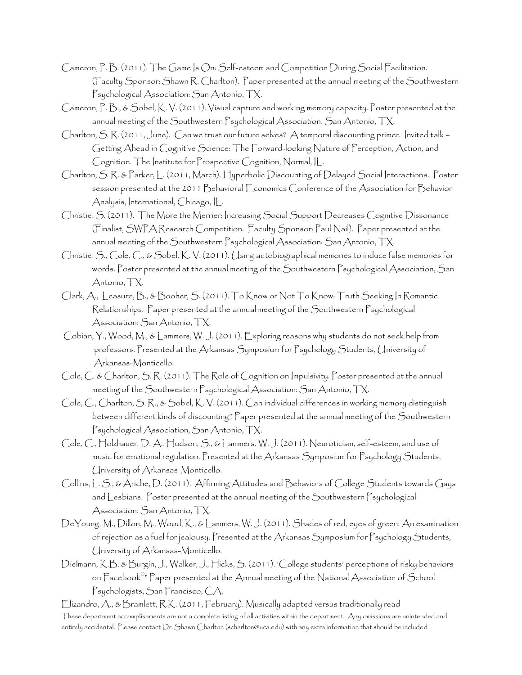- Cameron, P. B. (2011). The Game Is On: Self-esteem and Competition During Social Facilitation. (Faculty Sponsor: Shawn R. Charlton). Paper presented at the annual meeting of the Southwestern Psychological Association: San Antonio, TX.
- Cameron, P. B., & Sobel, K. V. (2011). Visual capture and working memory capacity. Poster presented at the annual meeting of the Southwestern Psychological Association, San Antonio, TX.
- Charlton, S. R. (2011, June). Can we trust our future selves? A temporal discounting primer. Invited talk Getting Ahead in Cognitive Science: The Forward-looking Nature of Perception, Action, and Cognition. The Institute for Prospective Cognition, Normal, IL.
- Charlton, S. R. & Parker, L. (2011, March). Hyperbolic Discounting of Delayed Social Interactions. Poster session presented at the 2011 Behavioral Economics Conference of the Association for Behavior Analysis, International, Chicago, IL.
- Christie, S. (2011). The More the Merrier: Increasing Social Support Decreases Cognitive Dissonance (Finalist, SWPA Research Competition. Faculty Sponsor: Paul Nail). Paper presented at the annual meeting of the Southwestern Psychological Association: San Antonio, TX.
- Christie, S., Cole, C., & Sobel, K. V. (2011). Using autobiographical memories to induce false memories for words. Poster presented at the annual meeting of the Southwestern Psychological Association, San Antonio, TX.
- Clark, A., Leasure, B., & Booher, S. (2011). To Know or Not To Know: Truth Seeking In Romantic Relationships. Paper presented at the annual meeting of the Southwestern Psychological Association: San Antonio, TX.
- Cobian, Y., Wood, M., & Lammers, W. J. (2011). Exploring reasons why students do not seek help from professors. Presented at the Arkansas Symposium for Psychology Students, University of Arkansas-Monticello.
- Cole, C. & Charlton, S. R. (2011). The Role of Cognition on Impulsivity. Poster presented at the annual meeting of the Southwestern Psychological Association: San Antonio, TX.
- Cole, C., Charlton, S. R., & Sobel, K. V. (2011). Can individual differences in working memory distinguish between different kinds of discounting? Paper presented at the annual meeting of the Southwestern Psychological Association, San Antonio, TX.
- Cole, C., Holzhauer, D. A., Hudson, S., & Lammers, W. J. (2011). Neuroticism, self-esteem, and use of music for emotional regulation. Presented at the Arkansas Symposium for Psychology Students, University of Arkansas-Monticello.
- Collins, L. S., & Ariche, D. (2011). Affirming Attitudes and Behaviors of College Students towards Gays and Lesbians. Poster presented at the annual meeting of the Southwestern Psychological Association: San Antonio, TX.
- DeYoung, M., Dillon, M., Wood, K., & Lammers, W. J. (2011). Shades of red, eyes of green: An examination of rejection as a fuel for jealousy. Presented at the Arkansas Symposium for Psychology Students, University of Arkansas-Monticello.
- Dielmann, K.B. & Burgin, J., Walker, J., Hicks, S. (2011). 'College students' perceptions of risky behaviors on Facebook© " Paper presented at the Annual meeting of the National Association of School Psychologists, San Francisco, CA.

These department accomplishments are not a complete listing of all activities within the department. Any omissions are unintended and entirely accidental. Please contact Dr. Shawn Charlton (scharlton@uca.edu) with any extra information that should be included Elizandro, A., & Bramlett, R.K. (2011, February). Musically adapted versus traditionally read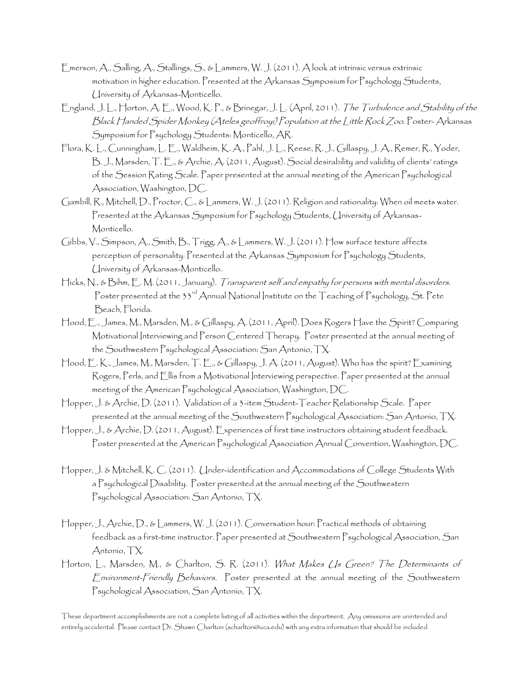- Emerson, A., Salling, A., Stallings, S., & Lammers, W. J. (2011). A look at intrinsic versus extrinsic motivation in higher education. Presented at the Arkansas Symposium for Psychology Students, University of Arkansas-Monticello.
- England, J. L., Horton, A. E., Wood, K. P., & Brinegar, J. L. (April, 2011). The Turbulence and Stability of the Black Handed Spider Monkey (Ateles geoffroyi) Population at the Little Rock Zoo. Poster- Arkansas Symposium for Psychology Students: Monticello, AR.
- Flora, K. L., Cunningham, L. E., Waldheim, K. A., Pahl, J. L., Reese, R. J., Gillaspy, J. A., Remer, R., Yoder, B. J., Marsden, T. E., & Archie, A. (2011, August). Social desirability and validity of clients' ratings of the Session Rating Scale. Paper presented at the annual meeting of the American Psychological Association, Washington, DC.
- Gambill, R., Mitchell, D., Proctor, C., & Lammers, W. J. (2011). Religion and rationality: When oil meets water. Presented at the Arkansas Symposium for Psychology Students, University of Arkansas-Monticello.
- Gibbs, V., Simpson, A., Smith, B., Trigg, A., & Lammers, W. J. (2011). How surface texture affects perception of personality. Presented at the Arkansas Symposium for Psychology Students, University of Arkansas-Monticello.
- Hicks, N., & Bihm, E. M. (2011, January). Transparent self and empathy for persons with mental disorders. Poster presented at the 33<sup>rd</sup> Annual National Institute on the Teaching of Psychology, St. Pete Beach, Florida.
- Hood, E., James, M., Marsden, M., & Gillaspy, A. (2011, April). Does Rogers Have the Spirit? Comparing Motivational Interviewing and Person Centered Therapy. Poster presented at the annual meeting of the Southwestern Psychological Association: San Antonio, TX.
- Hood, E. K., James, M., Marsden, T. E., & Gillaspy, J. A. (2011, August). Who has the spirit? Examining Rogers, Perls, and Ellis from a Motivational Interviewing perspective. Paper presented at the annual meeting of the American Psychological Association, Washington, DC.
- Hopper, J. & Archie, D. (2011). Validation of a 3-item Student-Teacher Relationship Scale. Paper presented at the annual meeting of the Southwestern Psychological Association: San Antonio, TX.
- Hopper, J., & Archie, D. (2011, August). Experiences of first time instructors obtaining student feedback. Poster presented at the American Psychological Association Annual Convention, Washington, DC.
- Hopper, J. & Mitchell, K. C. (2011). Under-identification and Accommodations of College Students With a Psychological Disability. Poster presented at the annual meeting of the Southwestern Psychological Association: San Antonio, TX.
- Hopper, J., Archie, D., & Lammers, W. J. (2011). Conversation hour: Practical methods of obtaining feedback as a first-time instructor. Paper presented at Southwestern Psychological Association, San Antonio, TX.
- Horton, L., Marsden, M., & Charlton, S. R. (2011). What Makes Us Green? The Determinants of Environment-Friendly Behaviors. Poster presented at the annual meeting of the Southwestern Psychological Association, San Antonio, TX.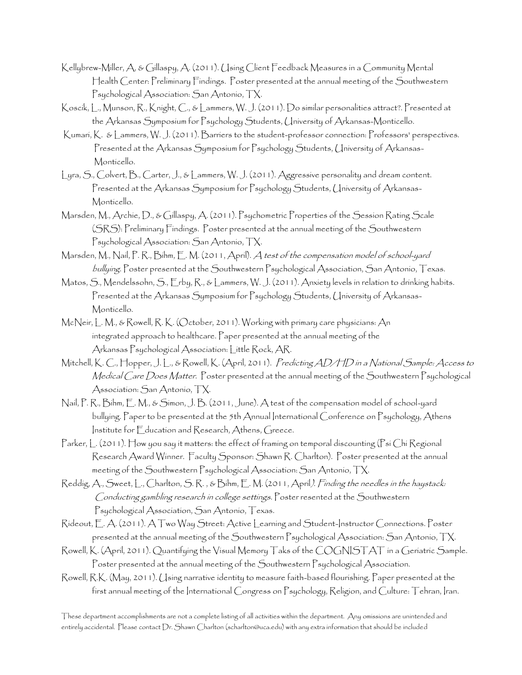- Kellybrew-Miller, A, & Gillaspy, A. (2011). Using Client Feedback Measures in a Community Mental Health Center: Preliminary Findings. Poster presented at the annual meeting of the Southwestern Psychological Association: San Antonio, TX.
- Koscik, L., Munson, R., Knight, C., & Lammers, W. J. (2011). Do similar personalities attract?. Presented at the Arkansas Symposium for Psychology Students, University of Arkansas-Monticello.
- Kumari, K. & Lammers, W. J. (2011). Barriers to the student-professor connection: Professors' perspectives. Presented at the Arkansas Symposium for Psychology Students, University of Arkansas-Monticello.
- Lyra, S., Colvert, B., Carter, J., & Lammers, W. J. (2011). Aggressive personality and dream content. Presented at the Arkansas Symposium for Psychology Students, University of Arkansas-Monticello.
- Marsden, M., Archie, D., & Gillaspy, A. (2011). Psychometric Properties of the Session Rating Scale (SRS): Preliminary Findings. Poster presented at the annual meeting of the Southwestern Psychological Association: San Antonio, TX.
- Marsden, M., Nail, P. R., Bihm, E. M. (2011, April). A test of the compensation model of school-yard bullying. Poster presented at the Southwestern Psychological Association, San Antonio, Texas.
- Matos, S., Mendelssohn, S., Erby, R., & Lammers, W. J. (2011). Anxiety levels in relation to drinking habits. Presented at the Arkansas Symposium for Psychology Students, University of Arkansas-Monticello.
- McNeir, L. M., & Rowell, R. K. (October, 2011). Working with primary care physicians: An integrated approach to healthcare. Paper presented at the annual meeting of the Arkansas Psychological Association: Little Rock, AR.
- Mitchell, K. C., Hopper, J. L., & Rowell, K. (April, 2011). Predicting AD/HD in a National Sample: Access to Medical Care Does Matter. Poster presented at the annual meeting of the Southwestern Psychological Association: San Antonio, TX.
- Nail, P. R., Bihm, E. M., & Simon, J. B. (2011, June). A test of the compensation model of school-yard bullying. Paper to be presented at the 5th Annual International Conference on Psychology, Athens Institute for Education and Research, Athens, Greece.
- Parker, L. (2011). How you say it matters: the effect of framing on temporal discounting (Psi Chi Regional Research Award Winner. Faculty Sponsor: Shawn R. Charlton). Poster presented at the annual meeting of the Southwestern Psychological Association: San Antonio, TX.
- Reddig, A., Sweet, L., Charlton, S. R. , & Bihm, E. M. (2011, April). Finding the needles in the haystack: Conducting gambling research in college settings. Poster resented at the Southwestern Psychological Association, San Antonio, Texas.
- Rideout, E. A. (2011). A Two Way Street: Active Learning and Student-Instructor Connections. Poster presented at the annual meeting of the Southwestern Psychological Association: San Antonio, TX.
- Rowell, K. (April, 2011). Quantifying the Visual Memory Taks of the COGNISTAT in a Geriatric Sample. Poster presented at the annual meeting of the Southwestern Psychological Association.
- Rowell, R.K. (May, 2011). Using narrative identity to measure faith-based flourishing. Paper presented at the first annual meeting of the International Congress on Psychology, Religion, and Culture: Tehran, Iran.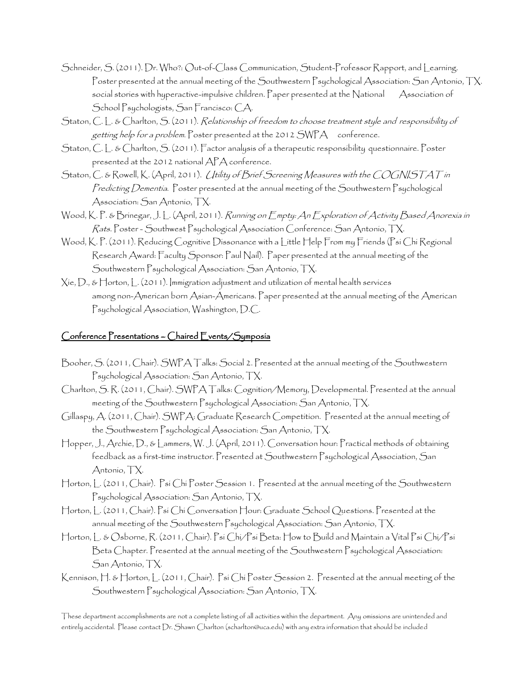- Schneider, S. (2011). Dr. Who?: Out-of-Class Communication, Student-Professor Rapport, and Learning. Poster presented at the annual meeting of the Southwestern Psychological Association: San Antonio, TX. social stories with hyperactive-impulsive children. Paper presented at the National Association of School Psychologists, San Francisco: CA.
- Staton, C. L. & Charlton, S. (2011). Relationship of freedom to choose treatment style and responsibility of getting help for a problem. Poster presented at the 2012 SWPA conference.
- Staton, C. L. & Charlton, S. (2011). Factor analysis of a therapeutic responsibility questionnaire. Poster presented at the 2012 national APA conference.
- Staton, C. & Rowell, K. (April, 2011). (Itility of Brief Screening Measures with the COGNISTAT in Predicting Dementia. Poster presented at the annual meeting of the Southwestern Psychological Association: San Antonio, TX.
- Wood, K. P. & Brinegar, J. L. (April, 2011). Running on Empty: An Exploration of Activity Based Anorexia in Rats. Poster - Southwest Psychological Association Conference: San Antonio, TX.
- Wood, K. P. (2011). Reducing Cognitive Dissonance with a Little Help From my Friends (Psi Chi Regional Research Award: Faculty Sponsor: Paul Nail). Paper presented at the annual meeting of the Southwestern Psychological Association: San Antonio, TX.
- $\chi$ ie,  $D$ ., &  $\Box$ orton,  $\Box$ . (2011). Immigration adjustment and utilization of mental health services among non-American born Asian-Americans. Paper presented at the annual meeting of the American Psychological Association, Washington, D.C.

## Conference Presentations – Chaired Events/Symposia

- Booher, S. (2011, Chair). SWPA Talks: Social 2. Presented at the annual meeting of the Southwestern Psychological Association: San Antonio, TX.
- Charlton, S. R. (2011, Chair). SWPA Talks: Cognition/Memory, Developmental. Presented at the annual meeting of the Southwestern Psychological Association: San Antonio, TX.
- Gillaspy, A. (2011, Chair). SWPA: Graduate Research Competition. Presented at the annual meeting of the Southwestern Psychological Association: San Antonio, TX.
- Hopper, J., Archie, D., & Lammers, W. J. (April, 2011). Conversation hour: Practical methods of obtaining feedback as a first-time instructor. Presented at Southwestern Psychological Association, San Antonio, TX.
- Horton, L. (2011, Chair). Psi Chi Poster Session 1. Presented at the annual meeting of the Southwestern Psychological Association: San Antonio, TX.
- Horton, L. (2011, Chair). Psi Chi Conversation Hour: Graduate School Questions. Presented at the annual meeting of the Southwestern Psychological Association: San Antonio, TX.
- Horton, L. & Osborne, R. (2011, Chair). Psi Chi/Psi Beta: How to Build and Maintain a Vital Psi Chi/Psi Beta Chapter. Presented at the annual meeting of the Southwestern Psychological Association: San Antonio, TX.
- Kennison, H. & Horton, J. (2011, Chair). Psi Chi Poster Session 2. Presented at the annual meeting of the Southwestern Psychological Association: San Antonio, TX.